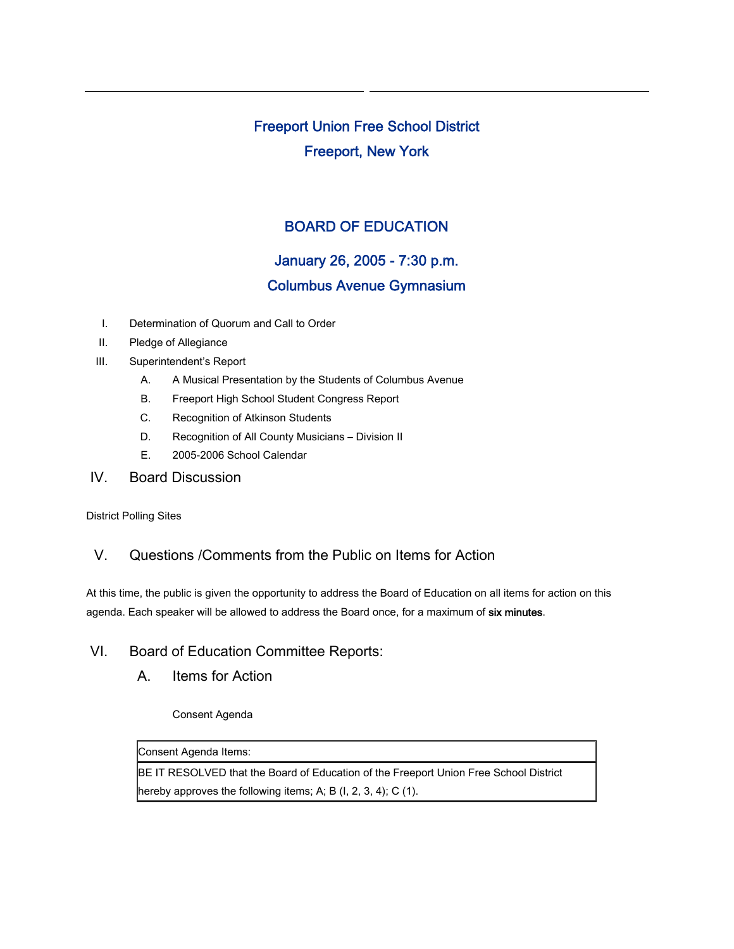# Freeport Union Free School District Freeport, New York

## BOARD OF EDUCATION

### January 26, 2005 - 7:30 p.m.

### Columbus Avenue Gymnasium

- I. Determination of Quorum and Call to Order
- II. Pledge of Allegiance
- III. Superintendent's Report
	- A. A Musical Presentation by the Students of Columbus Avenue
	- B. Freeport High School Student Congress Report
	- C. Recognition of Atkinson Students
	- D. Recognition of All County Musicians Division II
	- E. 2005-2006 School Calendar
- IV. Board Discussion

District Polling Sites

#### V. Questions /Comments from the Public on Items for Action

At this time, the public is given the opportunity to address the Board of Education on all items for action on this agenda. Each speaker will be allowed to address the Board once, for a maximum of six minutes.

#### VI. Board of Education Committee Reports:

A. Items for Action

Consent Agenda

Consent Agenda Items:

BE IT RESOLVED that the Board of Education of the Freeport Union Free School District hereby approves the following items; A; B (I, 2, 3, 4); C (1).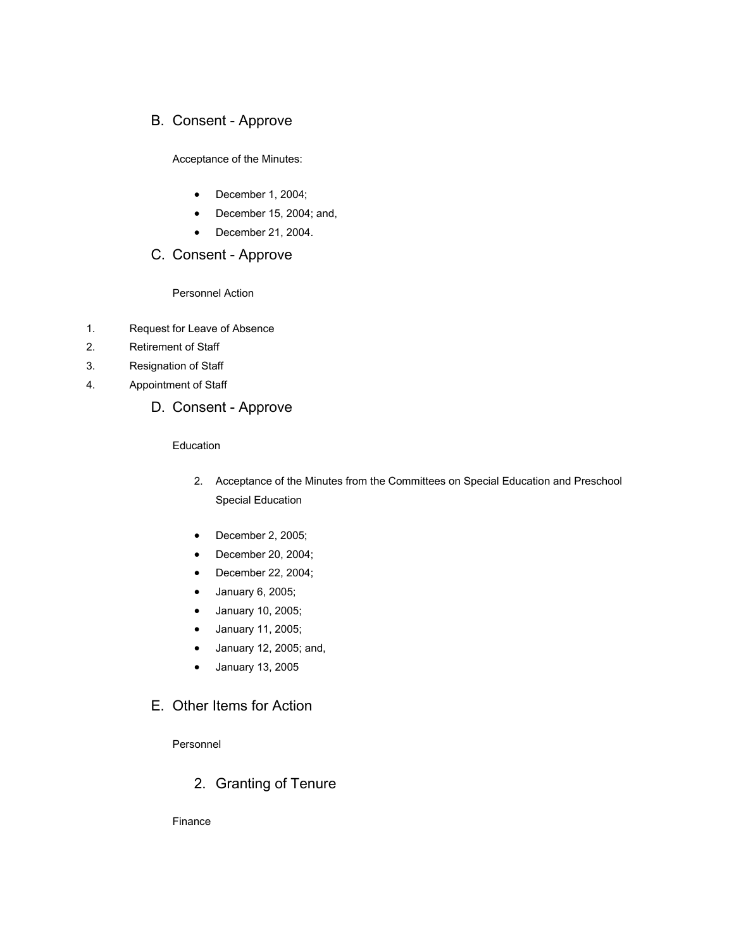#### B. Consent - Approve

Acceptance of the Minutes:

- December 1, 2004;
- December 15, 2004; and,
- December 21, 2004.

#### C. Consent - Approve

Personnel Action

- 1. Request for Leave of Absence
- 2. Retirement of Staff
- 3. Resignation of Staff
- 4. Appointment of Staff
	- D. Consent Approve

#### Education

- 2. Acceptance of the Minutes from the Committees on Special Education and Preschool Special Education
- December 2, 2005;
- December 20, 2004;
- December 22, 2004;
- January 6, 2005;
- January 10, 2005;
- January 11, 2005;
- January 12, 2005; and,
- January 13, 2005

#### E. Other Items for Action

Personnel

#### 2. Granting of Tenure

Finance